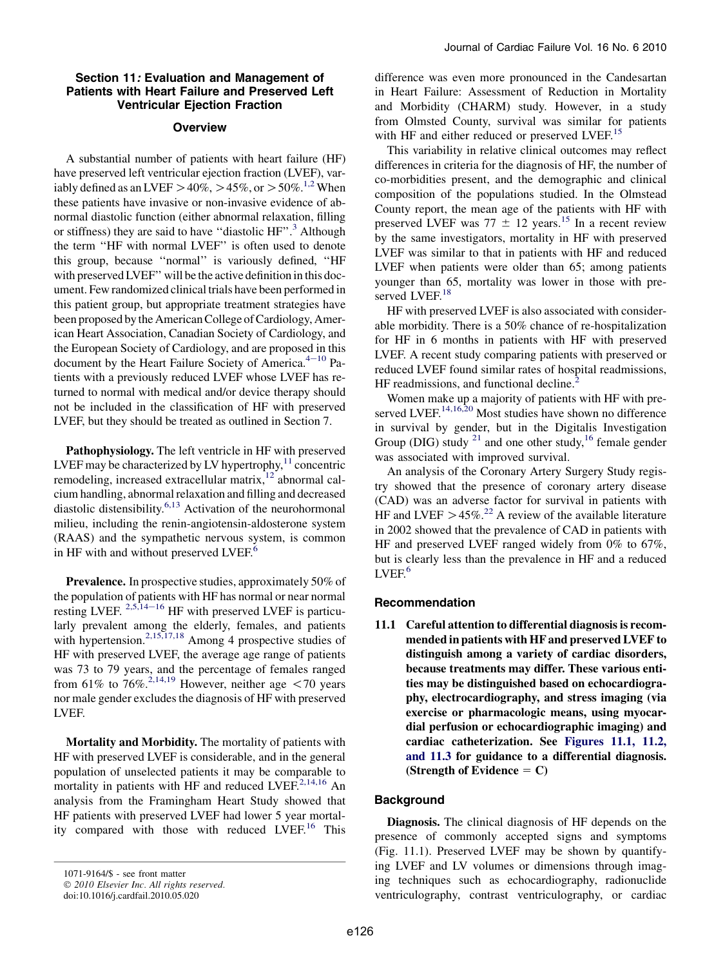## Section 11: Evaluation and Management of Patients with Heart Failure and Preserved Left Ventricular Ejection Fraction

### **Overview**

A substantial number of patients with heart failure (HF) have preserved left ventricular ejection fraction (LVEF), variably defined as an LVEF  $>40\%$ ,  $>45\%$ , or  $>50\%$ .<sup>1,2</sup> When these patients have invasive or non-invasive evidence of abnormal diastolic function (either abnormal relaxation, filling or stiffness) they are said to have "diastolic HF".<sup>[3](#page-5-0)</sup> Although the term ''HF with normal LVEF'' is often used to denote this group, because ''normal'' is variously defined, ''HF with preserved LVEF'' will be the active definition in this document. Few randomized clinical trials have been performed in this patient group, but appropriate treatment strategies have been proposed by the American College of Cardiology, American Heart Association, Canadian Society of Cardiology, and the European Society of Cardiology, and are proposed in this document by the Heart Failure Society of America. $4-10$  $4-10$  Patients with a previously reduced LVEF whose LVEF has returned to normal with medical and/or device therapy should not be included in the classification of HF with preserved LVEF, but they should be treated as outlined in Section 7.

Pathophysiology. The left ventricle in HF with preserved LVEF may be characterized by LV hypertrophy, $^{11}$  concentric remodeling, increased extracellular matrix,<sup>[12](#page-5-0)</sup> abnormal calcium handling, abnormal relaxation and filling and decreased diastolic distensibility.<sup>[6,13](#page-5-0)</sup> Activation of the neurohormonal milieu, including the renin-angiotensin-aldosterone system (RAAS) and the sympathetic nervous system, is common in HF with and without preserved LVEF.<sup>[6](#page-5-0)</sup>

Prevalence. In prospective studies, approximately 50% of the population of patients with HF has normal or near normal resting LVEF.  $2,5,14-16$  $2,5,14-16$  HF with preserved LVEF is particularly prevalent among the elderly, females, and patients with hypertension.<sup>[2,15,17,18](#page-5-0)</sup> Among 4 prospective studies of HF with preserved LVEF, the average age range of patients was 73 to 79 years, and the percentage of females ranged from 61% to 76%.<sup>2,14,19</sup> However, neither age  $\lt$  70 years nor male gender excludes the diagnosis of HF with preserved LVEF.

Mortality and Morbidity. The mortality of patients with HF with preserved LVEF is considerable, and in the general population of unselected patients it may be comparable to mortality in patients with HF and reduced LVEF. $^{2,14,16}$  An analysis from the Framingham Heart Study showed that HF patients with preserved LVEF had lower 5 year mortal-ity compared with those with reduced LVEF.<sup>[16](#page-6-0)</sup> This

1071-9164/\$ - see front matter

© 2010 Elsevier Inc. All rights reserved.

difference was even more pronounced in the Candesartan in Heart Failure: Assessment of Reduction in Mortality and Morbidity (CHARM) study. However, in a study from Olmsted County, survival was similar for patients with HF and either reduced or preserved LVEF.<sup>[15](#page-6-0)</sup>

This variability in relative clinical outcomes may reflect differences in criteria for the diagnosis of HF, the number of co-morbidities present, and the demographic and clinical composition of the populations studied. In the Olmstead County report, the mean age of the patients with HF with preserved LVEF was 77  $\pm$  12 years.<sup>[15](#page-6-0)</sup> In a recent review by the same investigators, mortality in HF with preserved LVEF was similar to that in patients with HF and reduced LVEF when patients were older than 65; among patients younger than 65, mortality was lower in those with pre-served LVEF.<sup>[18](#page-6-0)</sup>

HF with preserved LVEF is also associated with considerable morbidity. There is a 50% chance of re-hospitalization for HF in 6 months in patients with HF with preserved LVEF. A recent study comparing patients with preserved or reduced LVEF found similar rates of hospital readmissions, HF readmissions, and functional decline.<sup>[2](#page-5-0)</sup>

Women make up a majority of patients with HF with pre-served LVEF.<sup>[14,16,20](#page-6-0)</sup> Most studies have shown no difference in survival by gender, but in the Digitalis Investigation Group (DIG) study  $^{21}$  $^{21}$  $^{21}$  and one other study, <sup>[16](#page-6-0)</sup> female gender was associated with improved survival.

An analysis of the Coronary Artery Surgery Study registry showed that the presence of coronary artery disease (CAD) was an adverse factor for survival in patients with HF and LVEF  $> 45\%$ .<sup>[22](#page-6-0)</sup> A review of the available literature in 2002 showed that the prevalence of CAD in patients with HF and preserved LVEF ranged widely from 0% to 67%, but is clearly less than the prevalence in HF and a reduced  $LVEF<sup>6</sup>$  $LVEF<sup>6</sup>$  $LVEF<sup>6</sup>$ 

## Recommendation

11.1 Careful attention to differential diagnosis is recommended in patients with HF and preserved LVEF to distinguish among a variety of cardiac disorders, because treatments may differ. These various entities may be distinguished based on echocardiography, electrocardiography, and stress imaging (via exercise or pharmacologic means, using myocardial perfusion or echocardiographic imaging) and cardiac catheterization. See [Figures 11.1, 11.2,](#page-1-0) [and 11.3](#page-1-0) for guidance to a differential diagnosis. (Strength of Evidence  $= C$ )

### **Background**

Diagnosis. The clinical diagnosis of HF depends on the presence of commonly accepted signs and symptoms (Fig. 11.1). Preserved LVEF may be shown by quantifying LVEF and LV volumes or dimensions through imaging techniques such as echocardiography, radionuclide ventriculography, contrast ventriculography, or cardiac

doi:10.1016/j.cardfail.2010.05.020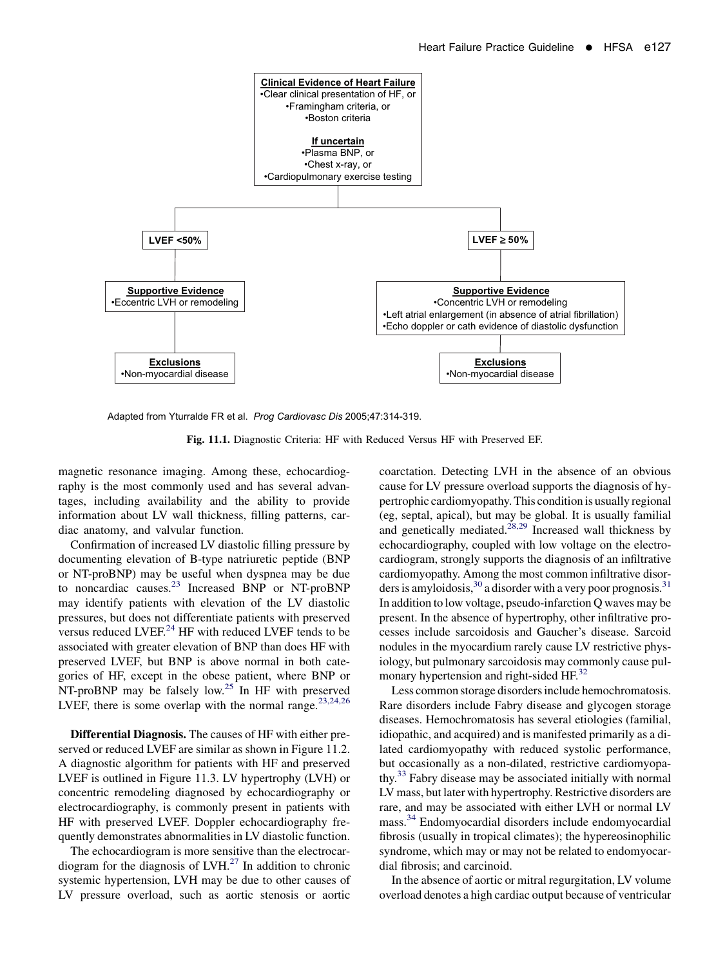<span id="page-1-0"></span>

Adapted from Yturralde FR et al. *Prog Cardiovasc Dis* 2005;47:314-319.

Fig. 11.1. Diagnostic Criteria: HF with Reduced Versus HF with Preserved EF.

magnetic resonance imaging. Among these, echocardiography is the most commonly used and has several advantages, including availability and the ability to provide information about LV wall thickness, filling patterns, cardiac anatomy, and valvular function.

Confirmation of increased LV diastolic filling pressure by documenting elevation of B-type natriuretic peptide (BNP or NT-proBNP) may be useful when dyspnea may be due to noncardiac causes.<sup>[23](#page-6-0)</sup> Increased BNP or NT-proBNP may identify patients with elevation of the LV diastolic pressures, but does not differentiate patients with preserved versus reduced LVEF. $^{24}$  $^{24}$  $^{24}$  HF with reduced LVEF tends to be associated with greater elevation of BNP than does HF with preserved LVEF, but BNP is above normal in both categories of HF, except in the obese patient, where BNP or NT-proBNP may be falsely low.<sup>[25](#page-6-0)</sup> In HF with preserved LVEF, there is some overlap with the normal range.<sup>[23,24,26](#page-6-0)</sup>

Differential Diagnosis. The causes of HF with either preserved or reduced LVEF are similar as shown in Figure 11.2. A diagnostic algorithm for patients with HF and preserved LVEF is outlined in Figure 11.3. LV hypertrophy (LVH) or concentric remodeling diagnosed by echocardiography or electrocardiography, is commonly present in patients with HF with preserved LVEF. Doppler echocardiography frequently demonstrates abnormalities in LV diastolic function.

The echocardiogram is more sensitive than the electrocardiogram for the diagnosis of  $LVH<sup>27</sup>$  In addition to chronic systemic hypertension, LVH may be due to other causes of LV pressure overload, such as aortic stenosis or aortic coarctation. Detecting LVH in the absence of an obvious cause for LV pressure overload supports the diagnosis of hypertrophic cardiomyopathy. This condition is usually regional (eg, septal, apical), but may be global. It is usually familial and genetically mediated.<sup>[28,29](#page-6-0)</sup> Increased wall thickness by echocardiography, coupled with low voltage on the electrocardiogram, strongly supports the diagnosis of an infiltrative cardiomyopathy. Among the most common infiltrative disorders is amyloidosis,  $30$  a disorder with a very poor prognosis.  $31$ In addition to low voltage, pseudo-infarction Q waves may be present. In the absence of hypertrophy, other infiltrative processes include sarcoidosis and Gaucher's disease. Sarcoid nodules in the myocardium rarely cause LV restrictive physiology, but pulmonary sarcoidosis may commonly cause pul-monary hypertension and right-sided HF.<sup>[32](#page-6-0)</sup>

Less common storage disorders include hemochromatosis. Rare disorders include Fabry disease and glycogen storage diseases. Hemochromatosis has several etiologies (familial, idiopathic, and acquired) and is manifested primarily as a dilated cardiomyopathy with reduced systolic performance, but occasionally as a non-dilated, restrictive cardiomyopa-thy.<sup>[33](#page-6-0)</sup> Fabry disease may be associated initially with normal LV mass, but later with hypertrophy. Restrictive disorders are rare, and may be associated with either LVH or normal LV mass.<sup>[34](#page-6-0)</sup> Endomyocardial disorders include endomyocardial fibrosis (usually in tropical climates); the hypereosinophilic syndrome, which may or may not be related to endomyocardial fibrosis; and carcinoid.

In the absence of aortic or mitral regurgitation, LV volume overload denotes a high cardiac output because of ventricular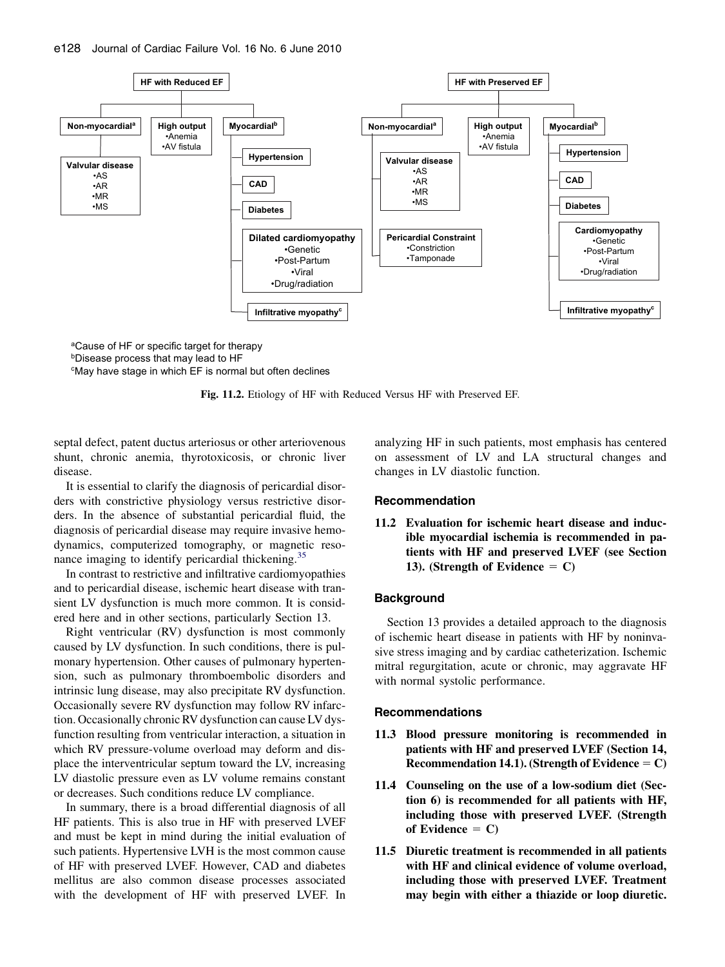

aCause of HF or specific target for therapy

bDisease process that may lead to HF

cMay have stage in which EF is normal but often declines



septal defect, patent ductus arteriosus or other arteriovenous shunt, chronic anemia, thyrotoxicosis, or chronic liver disease.

It is essential to clarify the diagnosis of pericardial disorders with constrictive physiology versus restrictive disorders. In the absence of substantial pericardial fluid, the diagnosis of pericardial disease may require invasive hemodynamics, computerized tomography, or magnetic reso-nance imaging to identify pericardial thickening.<sup>[35](#page-6-0)</sup>

In contrast to restrictive and infiltrative cardiomyopathies and to pericardial disease, ischemic heart disease with transient LV dysfunction is much more common. It is considered here and in other sections, particularly Section 13.

Right ventricular (RV) dysfunction is most commonly caused by LV dysfunction. In such conditions, there is pulmonary hypertension. Other causes of pulmonary hypertension, such as pulmonary thromboembolic disorders and intrinsic lung disease, may also precipitate RV dysfunction. Occasionally severe RV dysfunction may follow RV infarction. Occasionally chronic RV dysfunction can cause LV dysfunction resulting from ventricular interaction, a situation in which RV pressure-volume overload may deform and displace the interventricular septum toward the LV, increasing LV diastolic pressure even as LV volume remains constant or decreases. Such conditions reduce LV compliance.

In summary, there is a broad differential diagnosis of all HF patients. This is also true in HF with preserved LVEF and must be kept in mind during the initial evaluation of such patients. Hypertensive LVH is the most common cause of HF with preserved LVEF. However, CAD and diabetes mellitus are also common disease processes associated with the development of HF with preserved LVEF. In

analyzing HF in such patients, most emphasis has centered on assessment of LV and LA structural changes and changes in LV diastolic function.

## Recommendation

11.2 Evaluation for ischemic heart disease and inducible myocardial ischemia is recommended in patients with HF and preserved LVEF (see Section 13). (Strength of Evidence  $= C$ )

## **Background**

Section 13 provides a detailed approach to the diagnosis of ischemic heart disease in patients with HF by noninvasive stress imaging and by cardiac catheterization. Ischemic mitral regurgitation, acute or chronic, may aggravate HF with normal systolic performance.

#### Recommendations

- 11.3 Blood pressure monitoring is recommended in patients with HF and preserved LVEF (Section 14, Recommendation 14.1). (Strength of Evidence  $= C$ )
- 11.4 Counseling on the use of a low-sodium diet (Section 6) is recommended for all patients with HF, including those with preserved LVEF. (Strength of Evidence  $= C$ )
- 11.5 Diuretic treatment is recommended in all patients with HF and clinical evidence of volume overload, including those with preserved LVEF. Treatment may begin with either a thiazide or loop diuretic.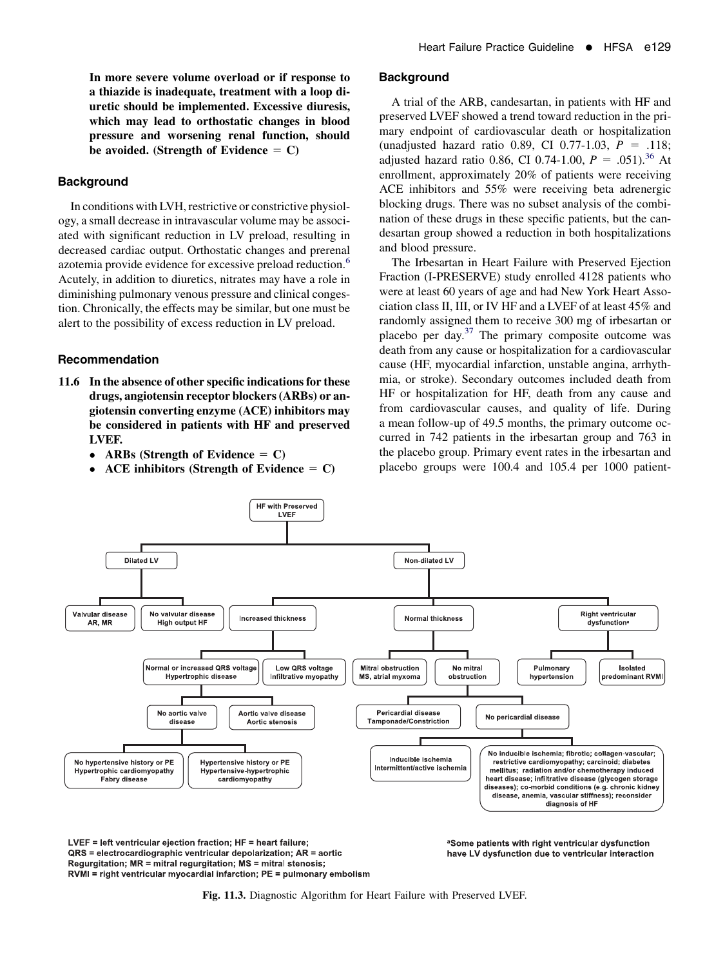In more severe volume overload or if response to a thiazide is inadequate, treatment with a loop diuretic should be implemented. Excessive diuresis, which may lead to orthostatic changes in blood pressure and worsening renal function, should be avoided. (Strength of Evidence  $= C$ )

# **Background**

In conditions with LVH, restrictive or constrictive physiology, a small decrease in intravascular volume may be associated with significant reduction in LV preload, resulting in decreased cardiac output. Orthostatic changes and prerenal azotemia provide evidence for excessive preload reduction.<sup>[6](#page-5-0)</sup> Acutely, in addition to diuretics, nitrates may have a role in diminishing pulmonary venous pressure and clinical congestion. Chronically, the effects may be similar, but one must be alert to the possibility of excess reduction in LV preload.

#### Recommendation

- 11.6 In the absence of other specific indications for these drugs, angiotensin receptor blockers (ARBs) or angiotensin converting enzyme (ACE) inhibitors may be considered in patients with HF and preserved LVEF.
	- ARBs (Strength of Evidence  $= C$ )
	- ACE inhibitors (Strength of Evidence  $= C$ )

#### **Background**

A trial of the ARB, candesartan, in patients with HF and preserved LVEF showed a trend toward reduction in the primary endpoint of cardiovascular death or hospitalization (unadjusted hazard ratio 0.89, CI 0.77-1.03,  $P = .118$ ; adjusted hazard ratio 0.86, CI 0.74-1.00,  $P = .051$ .<sup>[36](#page-6-0)</sup> At enrollment, approximately 20% of patients were receiving ACE inhibitors and 55% were receiving beta adrenergic blocking drugs. There was no subset analysis of the combination of these drugs in these specific patients, but the candesartan group showed a reduction in both hospitalizations and blood pressure.

The Irbesartan in Heart Failure with Preserved Ejection Fraction (I-PRESERVE) study enrolled 4128 patients who were at least 60 years of age and had New York Heart Association class II, III, or IV HF and a LVEF of at least 45% and randomly assigned them to receive 300 mg of irbesartan or placebo per day. $37$  The primary composite outcome was death from any cause or hospitalization for a cardiovascular cause (HF, myocardial infarction, unstable angina, arrhythmia, or stroke). Secondary outcomes included death from HF or hospitalization for HF, death from any cause and from cardiovascular causes, and quality of life. During a mean follow-up of 49.5 months, the primary outcome occurred in 742 patients in the irbesartan group and 763 in the placebo group. Primary event rates in the irbesartan and placebo groups were 100.4 and 105.4 per 1000 patient-



LVEF = left ventricular ejection fraction; HF = heart failure; QRS = electrocardiographic ventricular depolarization; AR = aortic Regurgitation; MR = mitral regurgitation; MS = mitral stenosis; RVMI = right ventricular myocardial infarction; PE = pulmonary embolism <sup>a</sup>Some patients with right ventricular dysfunction have LV dysfunction due to ventricular interaction

Fig. 11.3. Diagnostic Algorithm for Heart Failure with Preserved LVEF.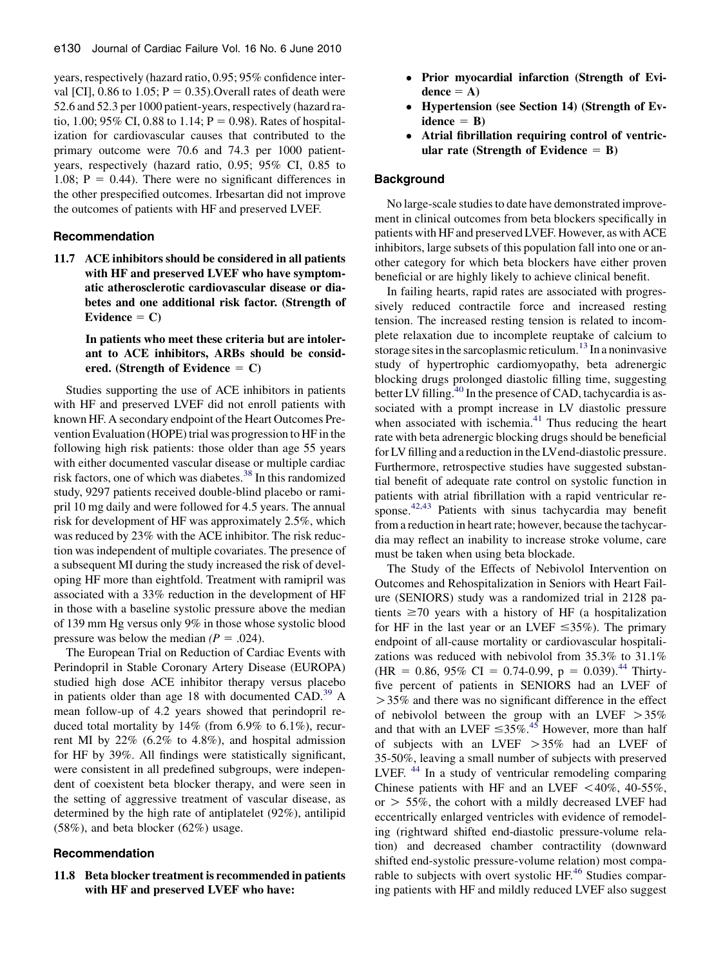years, respectively (hazard ratio, 0.95; 95% confidence interval [CI], 0.86 to 1.05;  $P = 0.35$ ). Overall rates of death were 52.6 and 52.3 per 1000 patient-years, respectively (hazard ratio, 1.00; 95% CI, 0.88 to 1.14;  $P = 0.98$ ). Rates of hospitalization for cardiovascular causes that contributed to the primary outcome were 70.6 and 74.3 per 1000 patientyears, respectively (hazard ratio, 0.95; 95% CI, 0.85 to 1.08;  $P = 0.44$ ). There were no significant differences in the other prespecified outcomes. Irbesartan did not improve the outcomes of patients with HF and preserved LVEF.

#### Recommendation

11.7 ACE inhibitors should be considered in all patients with HF and preserved LVEF who have symptomatic atherosclerotic cardiovascular disease or diabetes and one additional risk factor. (Strength of Evidence  $= C$ )

## In patients who meet these criteria but are intolerant to ACE inhibitors, ARBs should be considered. (Strength of Evidence  $= C$ )

Studies supporting the use of ACE inhibitors in patients with HF and preserved LVEF did not enroll patients with known HF. A secondary endpoint of the Heart Outcomes Prevention Evaluation (HOPE) trial was progression to HF in the following high risk patients: those older than age 55 years with either documented vascular disease or multiple cardiac risk factors, one of which was diabetes.<sup>[38](#page-6-0)</sup> In this randomized study, 9297 patients received double-blind placebo or ramipril 10 mg daily and were followed for 4.5 years. The annual risk for development of HF was approximately 2.5%, which was reduced by 23% with the ACE inhibitor. The risk reduction was independent of multiple covariates. The presence of a subsequent MI during the study increased the risk of developing HF more than eightfold. Treatment with ramipril was associated with a 33% reduction in the development of HF in those with a baseline systolic pressure above the median of 139 mm Hg versus only 9% in those whose systolic blood pressure was below the median  $(P = .024)$ .

The European Trial on Reduction of Cardiac Events with Perindopril in Stable Coronary Artery Disease (EUROPA) studied high dose ACE inhibitor therapy versus placebo in patients older than age 18 with documented CAD.<sup>[39](#page-6-0)</sup> A mean follow-up of 4.2 years showed that perindopril reduced total mortality by 14% (from 6.9% to 6.1%), recurrent MI by 22% (6.2% to 4.8%), and hospital admission for HF by 39%. All findings were statistically significant, were consistent in all predefined subgroups, were independent of coexistent beta blocker therapy, and were seen in the setting of aggressive treatment of vascular disease, as determined by the high rate of antiplatelet (92%), antilipid (58%), and beta blocker (62%) usage.

## Recommendation

## 11.8 Beta blocker treatment is recommended in patients with HF and preserved LVEF who have:

- Prior myocardial infarction (Strength of Evi $dence = A$ )
- Hypertension (see Section 14) (Strength of Ev $idence = B$ )
- Atrial fibrillation requiring control of ventricular rate (Strength of Evidence  $=$  B)

#### **Background**

No large-scale studies to date have demonstrated improvement in clinical outcomes from beta blockers specifically in patients with HF and preserved LVEF. However, as with ACE inhibitors, large subsets of this population fall into one or another category for which beta blockers have either proven beneficial or are highly likely to achieve clinical benefit.

In failing hearts, rapid rates are associated with progressively reduced contractile force and increased resting tension. The increased resting tension is related to incomplete relaxation due to incomplete reuptake of calcium to storage sites in the sarcoplasmic reticulum.<sup>[13](#page-5-0)</sup> In a noninvasive study of hypertrophic cardiomyopathy, beta adrenergic blocking drugs prolonged diastolic filling time, suggesting better LV filling.<sup>40</sup> In the presence of CAD, tachycardia is associated with a prompt increase in LV diastolic pressure when associated with ischemia. $41$  Thus reducing the heart rate with beta adrenergic blocking drugs should be beneficial for LV filling and a reduction in the LVend-diastolic pressure. Furthermore, retrospective studies have suggested substantial benefit of adequate rate control on systolic function in patients with atrial fibrillation with a rapid ventricular response. $42,43$  Patients with sinus tachycardia may benefit from a reduction in heart rate; however, because the tachycardia may reflect an inability to increase stroke volume, care must be taken when using beta blockade.

The Study of the Effects of Nebivolol Intervention on Outcomes and Rehospitalization in Seniors with Heart Failure (SENIORS) study was a randomized trial in 2128 patients  $\geq$ 70 years with a history of HF (a hospitalization for HF in the last year or an LVEF  $\leq 35\%$ ). The primary endpoint of all-cause mortality or cardiovascular hospitalizations was reduced with nebivolol from 35.3% to 31.1% (HR = 0.86, 95% CI = 0.74-0.99, p = 0.039).<sup>[44](#page-6-0)</sup> Thirtyfive percent of patients in SENIORS had an LVEF of  $>$  35% and there was no significant difference in the effect of nebivolol between the group with an LVEF  $>35\%$ and that with an LVEF  $\leq 35\%$ .<sup>[45](#page-6-0)</sup> However, more than half of subjects with an LVEF  $>35\%$  had an LVEF of 35-50%, leaving a small number of subjects with preserved LVEF.<sup>[44](#page-6-0)</sup> In a study of ventricular remodeling comparing Chinese patients with HF and an LVEF  $\langle 40\%, 40-55\%,$ or  $> 55\%$ , the cohort with a mildly decreased LVEF had eccentrically enlarged ventricles with evidence of remodeling (rightward shifted end-diastolic pressure-volume relation) and decreased chamber contractility (downward shifted end-systolic pressure-volume relation) most compa-rable to subjects with overt systolic HF.<sup>[46](#page-6-0)</sup> Studies comparing patients with HF and mildly reduced LVEF also suggest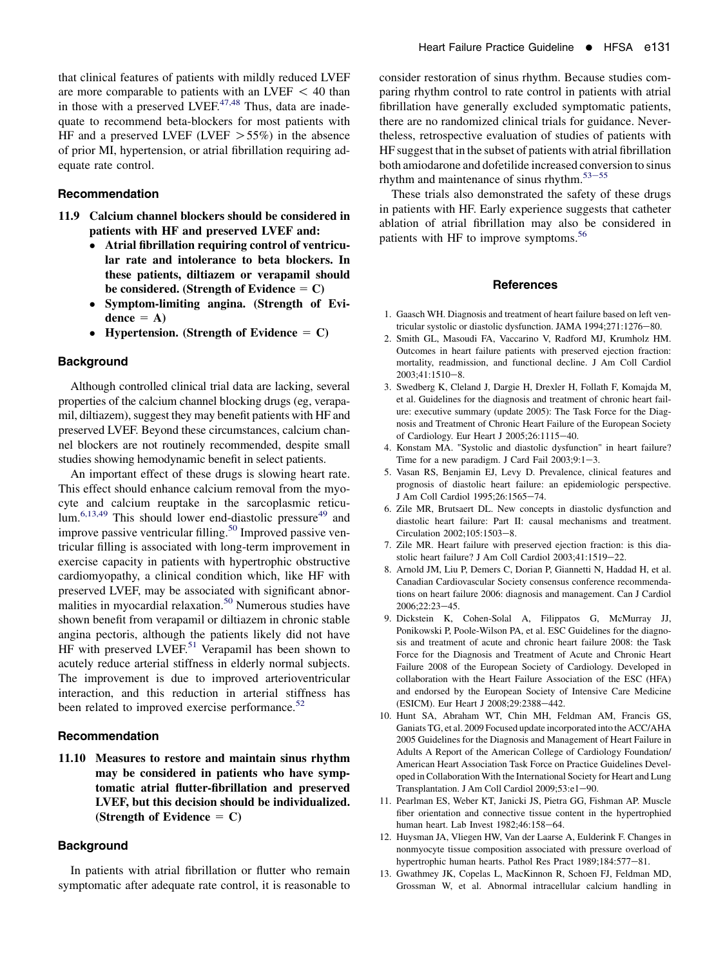## <span id="page-5-0"></span>Recommendation

- 11.9 Calcium channel blockers should be considered in patients with HF and preserved LVEF and:
	- Atrial fibrillation requiring control of ventricular rate and intolerance to beta blockers. In these patients, diltiazem or verapamil should be considered. (Strength of Evidence  $= C$ )
	- $\bullet$  Symptom-limiting angina. (Strength of Evidence  $= A$ )
	- Hypertension. (Strength of Evidence  $= C$ )

### **Background**

Although controlled clinical trial data are lacking, several properties of the calcium channel blocking drugs (eg, verapamil, diltiazem), suggest they may benefit patients with HF and preserved LVEF. Beyond these circumstances, calcium channel blockers are not routinely recommended, despite small studies showing hemodynamic benefit in select patients.

An important effect of these drugs is slowing heart rate. This effect should enhance calcium removal from the myocyte and calcium reuptake in the sarcoplasmic reticu- $\text{lum.}^{6,13,49}$  $\text{lum.}^{6,13,49}$  $\text{lum.}^{6,13,49}$  This should lower end-diastolic pressure<sup>49</sup> and improve passive ventricular filling.<sup>[50](#page-6-0)</sup> Improved passive ventricular filling is associated with long-term improvement in exercise capacity in patients with hypertrophic obstructive cardiomyopathy, a clinical condition which, like HF with preserved LVEF, may be associated with significant abnor-malities in myocardial relaxation.<sup>[50](#page-6-0)</sup> Numerous studies have shown benefit from verapamil or diltiazem in chronic stable angina pectoris, although the patients likely did not have HF with preserved LVEF.<sup>[51](#page-6-0)</sup> Verapamil has been shown to acutely reduce arterial stiffness in elderly normal subjects. The improvement is due to improved arterioventricular interaction, and this reduction in arterial stiffness has been related to improved exercise performance.<sup>[52](#page-7-0)</sup>

#### Recommendation

11.10 Measures to restore and maintain sinus rhythm may be considered in patients who have symptomatic atrial flutter-fibrillation and preserved LVEF, but this decision should be individualized. (Strength of Evidence  $= C$ )

# **Background**

In patients with atrial fibrillation or flutter who remain symptomatic after adequate rate control, it is reasonable to consider restoration of sinus rhythm. Because studies comparing rhythm control to rate control in patients with atrial fibrillation have generally excluded symptomatic patients, there are no randomized clinical trials for guidance. Nevertheless, retrospective evaluation of studies of patients with HF suggest that in the subset of patients with atrial fibrillation both amiodarone and dofetilide increased conversion to sinus rhythm and maintenance of sinus rhythm. $53-55$  $53-55$ 

These trials also demonstrated the safety of these drugs in patients with HF. Early experience suggests that catheter ablation of atrial fibrillation may also be considered in patients with HF to improve symptoms.<sup>56</sup>

#### References

- 1. Gaasch WH. Diagnosis and treatment of heart failure based on left ventricular systolic or diastolic dysfunction. JAMA 1994;271:1276-80.
- 2. Smith GL, Masoudi FA, Vaccarino V, Radford MJ, Krumholz HM. Outcomes in heart failure patients with preserved ejection fraction: mortality, readmission, and functional decline. J Am Coll Cardiol  $2003:41:1510-8$ .
- 3. Swedberg K, Cleland J, Dargie H, Drexler H, Follath F, Komajda M, et al. Guidelines for the diagnosis and treatment of chronic heart failure: executive summary (update 2005): The Task Force for the Diagnosis and Treatment of Chronic Heart Failure of the European Society of Cardiology. Eur Heart J  $2005;26:1115-40$ .
- 4. Konstam MA. "Systolic and diastolic dysfunction" in heart failure? Time for a new paradigm. J Card Fail  $2003;9:1-3$ .
- 5. Vasan RS, Benjamin EJ, Levy D. Prevalence, clinical features and prognosis of diastolic heart failure: an epidemiologic perspective. J Am Coll Cardiol 1995;26:1565-74.
- 6. Zile MR, Brutsaert DL. New concepts in diastolic dysfunction and diastolic heart failure: Part II: causal mechanisms and treatment. Circulation 2002;105:1503-8.
- 7. Zile MR. Heart failure with preserved ejection fraction: is this diastolic heart failure? J Am Coll Cardiol 2003;41:1519-22.
- 8. Arnold JM, Liu P, Demers C, Dorian P, Giannetti N, Haddad H, et al. Canadian Cardiovascular Society consensus conference recommendations on heart failure 2006: diagnosis and management. Can J Cardiol  $2006:22:23-45.$
- 9. Dickstein K, Cohen-Solal A, Filippatos G, McMurray JJ, Ponikowski P, Poole-Wilson PA, et al. ESC Guidelines for the diagnosis and treatment of acute and chronic heart failure 2008: the Task Force for the Diagnosis and Treatment of Acute and Chronic Heart Failure 2008 of the European Society of Cardiology. Developed in collaboration with the Heart Failure Association of the ESC (HFA) and endorsed by the European Society of Intensive Care Medicine (ESICM). Eur Heart J 2008;29:2388-442.
- 10. Hunt SA, Abraham WT, Chin MH, Feldman AM, Francis GS, Ganiats TG, et al. 2009 Focused update incorporated into the ACC/AHA 2005 Guidelines for the Diagnosis and Management of Heart Failure in Adults A Report of the American College of Cardiology Foundation/ American Heart Association Task Force on Practice Guidelines Developed in Collaboration With the International Society for Heart and Lung Transplantation. J Am Coll Cardiol  $2009;53:el-90$ .
- 11. Pearlman ES, Weber KT, Janicki JS, Pietra GG, Fishman AP. Muscle fiber orientation and connective tissue content in the hypertrophied human heart. Lab Invest 1982;46:158-64.
- 12. Huysman JA, Vliegen HW, Van der Laarse A, Eulderink F. Changes in nonmyocyte tissue composition associated with pressure overload of hypertrophic human hearts. Pathol Res Pract 1989;184:577-81.
- 13. Gwathmey JK, Copelas L, MacKinnon R, Schoen FJ, Feldman MD, Grossman W, et al. Abnormal intracellular calcium handling in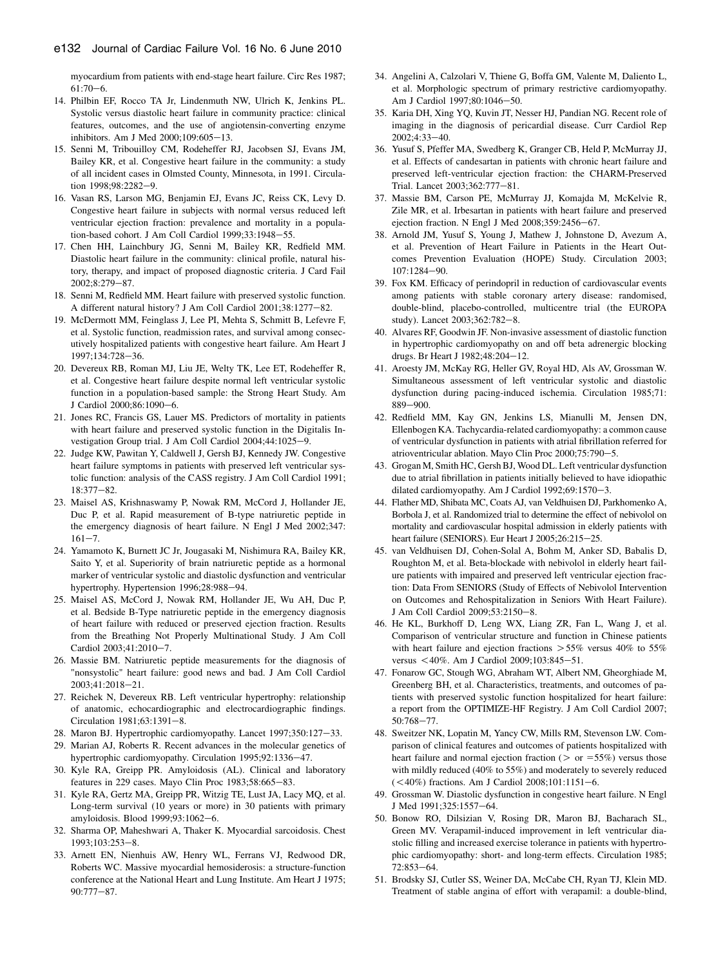<span id="page-6-0"></span>myocardium from patients with end-stage heart failure. Circ Res 1987;  $61:70-6$ .

- 14. Philbin EF, Rocco TA Jr, Lindenmuth NW, Ulrich K, Jenkins PL. Systolic versus diastolic heart failure in community practice: clinical features, outcomes, and the use of angiotensin-converting enzyme inhibitors. Am J Med 2000;109:605-13.
- 15. Senni M, Tribouilloy CM, Rodeheffer RJ, Jacobsen SJ, Evans JM, Bailey KR, et al. Congestive heart failure in the community: a study of all incident cases in Olmsted County, Minnesota, in 1991. Circulation 1998;98:2282-9.
- 16. Vasan RS, Larson MG, Benjamin EJ, Evans JC, Reiss CK, Levy D. Congestive heart failure in subjects with normal versus reduced left ventricular ejection fraction: prevalence and mortality in a population-based cohort. J Am Coll Cardiol 1999;33:1948-55.
- 17. Chen HH, Lainchbury JG, Senni M, Bailey KR, Redfield MM. Diastolic heart failure in the community: clinical profile, natural history, therapy, and impact of proposed diagnostic criteria. J Card Fail 2002;8:279-87.
- 18. Senni M, Redfield MM. Heart failure with preserved systolic function. A different natural history? J Am Coll Cardiol 2001;38:1277-82.
- 19. McDermott MM, Feinglass J, Lee PI, Mehta S, Schmitt B, Lefevre F, et al. Systolic function, readmission rates, and survival among consecutively hospitalized patients with congestive heart failure. Am Heart J 1997;134:728-36.
- 20. Devereux RB, Roman MJ, Liu JE, Welty TK, Lee ET, Rodeheffer R, et al. Congestive heart failure despite normal left ventricular systolic function in a population-based sample: the Strong Heart Study. Am J Cardiol 2000;86:1090-6.
- 21. Jones RC, Francis GS, Lauer MS. Predictors of mortality in patients with heart failure and preserved systolic function in the Digitalis Investigation Group trial. J Am Coll Cardiol 2004;44:1025-9.
- 22. Judge KW, Pawitan Y, Caldwell J, Gersh BJ, Kennedy JW. Congestive heart failure symptoms in patients with preserved left ventricular systolic function: analysis of the CASS registry. J Am Coll Cardiol 1991; 18:377-82.
- 23. Maisel AS, Krishnaswamy P, Nowak RM, McCord J, Hollander JE, Duc P, et al. Rapid measurement of B-type natriuretic peptide in the emergency diagnosis of heart failure. N Engl J Med 2002;347:  $161 - 7.$
- 24. Yamamoto K, Burnett JC Jr, Jougasaki M, Nishimura RA, Bailey KR, Saito Y, et al. Superiority of brain natriuretic peptide as a hormonal marker of ventricular systolic and diastolic dysfunction and ventricular hypertrophy. Hypertension 1996;28:988-94.
- 25. Maisel AS, McCord J, Nowak RM, Hollander JE, Wu AH, Duc P, et al. Bedside B-Type natriuretic peptide in the emergency diagnosis of heart failure with reduced or preserved ejection fraction. Results from the Breathing Not Properly Multinational Study. J Am Coll Cardiol 2003;41:2010-7.
- 26. Massie BM. Natriuretic peptide measurements for the diagnosis of "nonsystolic" heart failure: good news and bad. J Am Coll Cardiol  $2003;41:2018-21.$
- 27. Reichek N, Devereux RB. Left ventricular hypertrophy: relationship of anatomic, echocardiographic and electrocardiographic findings. Circulation 1981;63:1391-8.
- 28. Maron BJ. Hypertrophic cardiomyopathy. Lancet 1997;350:127-33.
- 29. Marian AJ, Roberts R. Recent advances in the molecular genetics of hypertrophic cardiomyopathy. Circulation 1995;92:1336-47.
- 30. Kyle RA, Greipp PR. Amyloidosis (AL). Clinical and laboratory features in 229 cases. Mayo Clin Proc 1983;58:665-83.
- 31. Kyle RA, Gertz MA, Greipp PR, Witzig TE, Lust JA, Lacy MQ, et al. Long-term survival (10 years or more) in 30 patients with primary amyloidosis. Blood 1999;93:1062-6.
- 32. Sharma OP, Maheshwari A, Thaker K. Myocardial sarcoidosis. Chest 1993:103:253-8.
- 33. Arnett EN, Nienhuis AW, Henry WL, Ferrans VJ, Redwood DR, Roberts WC. Massive myocardial hemosiderosis: a structure-function conference at the National Heart and Lung Institute. Am Heart J 1975;  $90:777 - 87.$
- 34. Angelini A, Calzolari V, Thiene G, Boffa GM, Valente M, Daliento L, et al. Morphologic spectrum of primary restrictive cardiomyopathy. Am J Cardiol 1997;80:1046-50.
- 35. Karia DH, Xing YQ, Kuvin JT, Nesser HJ, Pandian NG. Recent role of imaging in the diagnosis of pericardial disease. Curr Cardiol Rep 2002;4:33-40.
- 36. Yusuf S, Pfeffer MA, Swedberg K, Granger CB, Held P, McMurray JJ, et al. Effects of candesartan in patients with chronic heart failure and preserved left-ventricular ejection fraction: the CHARM-Preserved Trial. Lancet 2003;362:777-81.
- 37. Massie BM, Carson PE, McMurray JJ, Komajda M, McKelvie R, Zile MR, et al. Irbesartan in patients with heart failure and preserved ejection fraction. N Engl J Med  $2008;359:2456-67$ .
- 38. Arnold JM, Yusuf S, Young J, Mathew J, Johnstone D, Avezum A, et al. Prevention of Heart Failure in Patients in the Heart Outcomes Prevention Evaluation (HOPE) Study. Circulation 2003; 107:1284-90.
- 39. Fox KM. Efficacy of perindopril in reduction of cardiovascular events among patients with stable coronary artery disease: randomised, double-blind, placebo-controlled, multicentre trial (the EUROPA study). Lancet 2003;362:782-8.
- 40. Alvares RF, Goodwin JF. Non-invasive assessment of diastolic function in hypertrophic cardiomyopathy on and off beta adrenergic blocking drugs. Br Heart J 1982;48:204-12.
- 41. Aroesty JM, McKay RG, Heller GV, Royal HD, Als AV, Grossman W. Simultaneous assessment of left ventricular systolic and diastolic dysfunction during pacing-induced ischemia. Circulation 1985;71: 889-900.
- 42. Redfield MM, Kay GN, Jenkins LS, Mianulli M, Jensen DN, Ellenbogen KA. Tachycardia-related cardiomyopathy: a common cause of ventricular dysfunction in patients with atrial fibrillation referred for atrioventricular ablation. Mayo Clin Proc 2000;75:790-5.
- 43. Grogan M, Smith HC, Gersh BJ, Wood DL. Left ventricular dysfunction due to atrial fibrillation in patients initially believed to have idiopathic dilated cardiomyopathy. Am J Cardiol 1992;69:1570-3.
- 44. Flather MD, Shibata MC, Coats AJ, van Veldhuisen DJ, Parkhomenko A, Borbola J, et al. Randomized trial to determine the effect of nebivolol on mortality and cardiovascular hospital admission in elderly patients with heart failure (SENIORS). Eur Heart J 2005;26:215-25.
- 45. van Veldhuisen DJ, Cohen-Solal A, Bohm M, Anker SD, Babalis D, Roughton M, et al. Beta-blockade with nebivolol in elderly heart failure patients with impaired and preserved left ventricular ejection fraction: Data From SENIORS (Study of Effects of Nebivolol Intervention on Outcomes and Rehospitalization in Seniors With Heart Failure). J Am Coll Cardiol 2009;53:2150-8.
- 46. He KL, Burkhoff D, Leng WX, Liang ZR, Fan L, Wang J, et al. Comparison of ventricular structure and function in Chinese patients with heart failure and ejection fractions  $> 55\%$  versus 40% to 55% versus  $<40\%$ . Am J Cardiol 2009;103:845-51.
- 47. Fonarow GC, Stough WG, Abraham WT, Albert NM, Gheorghiade M, Greenberg BH, et al. Characteristics, treatments, and outcomes of patients with preserved systolic function hospitalized for heart failure: a report from the OPTIMIZE-HF Registry. J Am Coll Cardiol 2007; 50:768-77.
- 48. Sweitzer NK, Lopatin M, Yancy CW, Mills RM, Stevenson LW. Comparison of clinical features and outcomes of patients hospitalized with heart failure and normal ejection fraction ( $>$  or  $=$  55%) versus those with mildly reduced (40% to 55%) and moderately to severely reduced  $(<$  40%) fractions. Am J Cardiol 2008;101:1151-6.
- 49. Grossman W. Diastolic dysfunction in congestive heart failure. N Engl J Med 1991;325:1557-64.
- 50. Bonow RO, Dilsizian V, Rosing DR, Maron BJ, Bacharach SL, Green MV. Verapamil-induced improvement in left ventricular diastolic filling and increased exercise tolerance in patients with hypertrophic cardiomyopathy: short- and long-term effects. Circulation 1985; 72:853-64.
- 51. Brodsky SJ, Cutler SS, Weiner DA, McCabe CH, Ryan TJ, Klein MD. Treatment of stable angina of effort with verapamil: a double-blind,